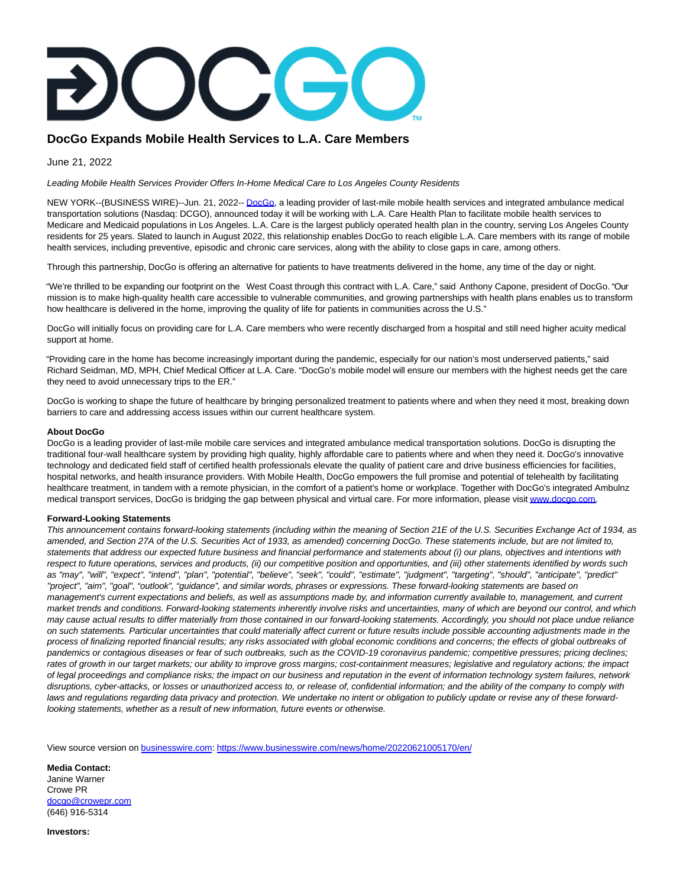## **DocGo Expands Mobile Health Services to L.A. Care Members**

June 21, 2022

Leading Mobile Health Services Provider Offers In-Home Medical Care to Los Angeles County Residents

NEW YORK--(BUSINESS WIRE)--Jun. 21, 2022-[- DocGo,](https://cts.businesswire.com/ct/CT?id=smartlink&url=https%3A%2F%2Fwww.docgo.com%2F&esheet=52753728&newsitemid=20220621005170&lan=en-US&anchor=DocGo&index=1&md5=03876a1318d84393c3194f575bcb96de) a leading provider of last-mile mobile health services and integrated ambulance medical transportation solutions (Nasdaq: DCGO), announced today it will be working with L.A. Care Health Plan to facilitate mobile health services to Medicare and Medicaid populations in Los Angeles. L.A. Care is the largest publicly operated health plan in the country, serving Los Angeles County residents for 25 years. Slated to launch in August 2022, this relationship enables DocGo to reach eligible L.A. Care members with its range of mobile health services, including preventive, episodic and chronic care services, along with the ability to close gaps in care, among others.

Through this partnership, DocGo is offering an alternative for patients to have treatments delivered in the home, any time of the day or night.

"We're thrilled to be expanding our footprint on the West Coast through this contract with L.A. Care," said Anthony Capone, president of DocGo. "Our mission is to make high-quality health care accessible to vulnerable communities, and growing partnerships with health plans enables us to transform how healthcare is delivered in the home, improving the quality of life for patients in communities across the U.S."

DocGo will initially focus on providing care for L.A. Care members who were recently discharged from a hospital and still need higher acuity medical support at home.

"Providing care in the home has become increasingly important during the pandemic, especially for our nation's most underserved patients," said Richard Seidman, MD, MPH, Chief Medical Officer at L.A. Care. "DocGo's mobile model will ensure our members with the highest needs get the care they need to avoid unnecessary trips to the ER."

DocGo is working to shape the future of healthcare by bringing personalized treatment to patients where and when they need it most, breaking down barriers to care and addressing access issues within our current healthcare system.

## **About DocGo**

DocGo is a leading provider of last-mile mobile care services and integrated ambulance medical transportation solutions. DocGo is disrupting the traditional four-wall healthcare system by providing high quality, highly affordable care to patients where and when they need it. DocGo's innovative technology and dedicated field staff of certified health professionals elevate the quality of patient care and drive business efficiencies for facilities, hospital networks, and health insurance providers. With Mobile Health, DocGo empowers the full promise and potential of telehealth by facilitating healthcare treatment, in tandem with a remote physician, in the comfort of a patient's home or workplace. Together with DocGo's integrated Ambulnz medical transport services, DocGo is bridging the gap between physical and virtual care. For more information, please visi[t www.docgo.com.](https://cts.businesswire.com/ct/CT?id=smartlink&url=http%3A%2F%2Fwww.docgo.com&esheet=52753728&newsitemid=20220621005170&lan=en-US&anchor=www.docgo.com&index=2&md5=efa806bcb6f5a938175911aaaf6b3b99)

## **Forward-Looking Statements**

This announcement contains forward-looking statements (including within the meaning of Section 21E of the U.S. Securities Exchange Act of 1934, as amended, and Section 27A of the U.S. Securities Act of 1933, as amended) concerning DocGo. These statements include, but are not limited to, statements that address our expected future business and financial performance and statements about (i) our plans, objectives and intentions with respect to future operations, services and products, (ii) our competitive position and opportunities, and (iii) other statements identified by words such as "may", "will", "expect", "intend", "plan", "potential", "believe", "seek", "could", "estimate", "judgment", "targeting", "should", "anticipate", "predict" "project", "aim", "goal", "outlook", "guidance", and similar words, phrases or expressions. These forward-looking statements are based on management's current expectations and beliefs, as well as assumptions made by, and information currently available to, management, and current market trends and conditions. Forward-looking statements inherently involve risks and uncertainties, many of which are beyond our control, and which may cause actual results to differ materially from those contained in our forward-looking statements. Accordingly, you should not place undue reliance on such statements. Particular uncertainties that could materially affect current or future results include possible accounting adjustments made in the process of finalizing reported financial results; any risks associated with global economic conditions and concerns; the effects of global outbreaks of pandemics or contagious diseases or fear of such outbreaks, such as the COVID-19 coronavirus pandemic; competitive pressures; pricing declines; rates of growth in our target markets; our ability to improve gross margins; cost-containment measures; legislative and regulatory actions; the impact of legal proceedings and compliance risks; the impact on our business and reputation in the event of information technology system failures, network disruptions, cyber-attacks, or losses or unauthorized access to, or release of, confidential information; and the ability of the company to comply with laws and regulations regarding data privacy and protection. We undertake no intent or obligation to publicly update or revise any of these forwardlooking statements, whether as a result of new information, future events or otherwise.

View source version on [businesswire.com:](http://businesswire.com/)<https://www.businesswire.com/news/home/20220621005170/en/>

**Media Contact:** Janine Warner Crowe PR [docgo@crowepr.com](mailto:docgo@crowepr.com) (646) 916-5314

**Investors:**